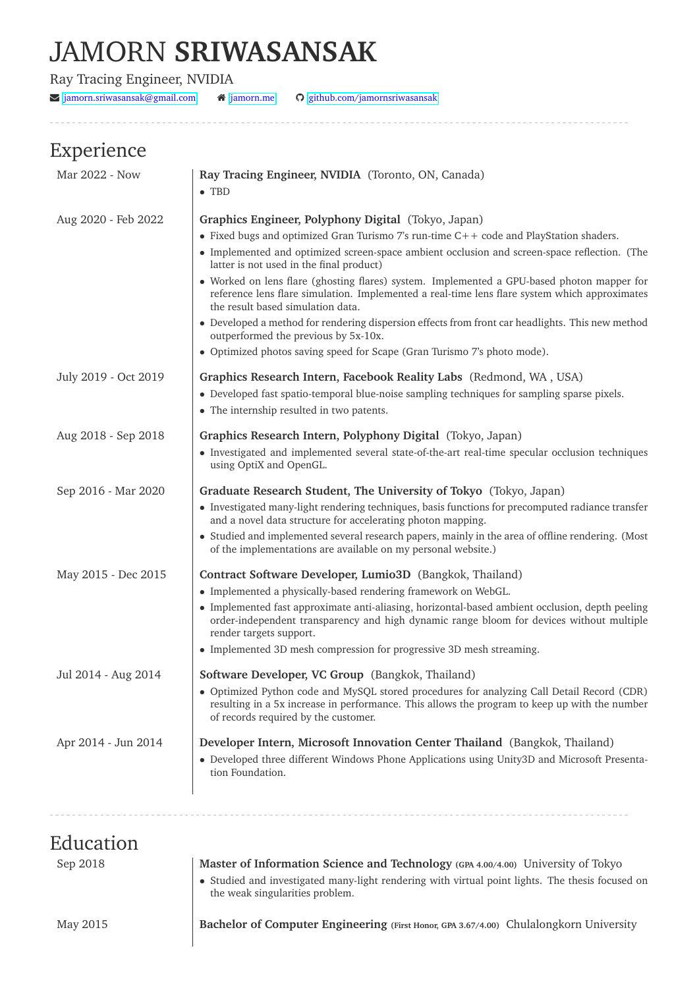# JAMORN **SRIWASANSAK**

Ray Tracing Engineer, NVIDIA

 $\blacktriangleright$  [jamorn.sriwasansak@gmail.com](mailto:jamorn.sriwasansak@gmail.com)  $\blacklozenge$  [jamorn.me](https://jamorn.me)  $\blacklozenge$  [github.com/jamornsriwasansak](https://github.com/jamornsriwasansak)

## Experience

| Mar 2022 - Now       | Ray Tracing Engineer, NVIDIA (Toronto, ON, Canada)<br>$\bullet$ TBD                                                                                                                                                                                                                                                                                                                                                                                                                                                                                                                                                                                                                                                                                   |
|----------------------|-------------------------------------------------------------------------------------------------------------------------------------------------------------------------------------------------------------------------------------------------------------------------------------------------------------------------------------------------------------------------------------------------------------------------------------------------------------------------------------------------------------------------------------------------------------------------------------------------------------------------------------------------------------------------------------------------------------------------------------------------------|
| Aug 2020 - Feb 2022  | Graphics Engineer, Polyphony Digital (Tokyo, Japan)<br>• Fixed bugs and optimized Gran Turismo 7's run-time C++ code and PlayStation shaders.<br>• Implemented and optimized screen-space ambient occlusion and screen-space reflection. (The<br>latter is not used in the final product)<br>• Worked on lens flare (ghosting flares) system. Implemented a GPU-based photon mapper for<br>reference lens flare simulation. Implemented a real-time lens flare system which approximates<br>the result based simulation data.<br>• Developed a method for rendering dispersion effects from front car headlights. This new method<br>outperformed the previous by 5x-10x.<br>• Optimized photos saving speed for Scape (Gran Turismo 7's photo mode). |
| July 2019 - Oct 2019 | Graphics Research Intern, Facebook Reality Labs (Redmond, WA, USA)<br>• Developed fast spatio-temporal blue-noise sampling techniques for sampling sparse pixels.<br>• The internship resulted in two patents.                                                                                                                                                                                                                                                                                                                                                                                                                                                                                                                                        |
| Aug 2018 - Sep 2018  | Graphics Research Intern, Polyphony Digital (Tokyo, Japan)<br>• Investigated and implemented several state-of-the-art real-time specular occlusion techniques<br>using OptiX and OpenGL.                                                                                                                                                                                                                                                                                                                                                                                                                                                                                                                                                              |
| Sep 2016 - Mar 2020  | Graduate Research Student, The University of Tokyo (Tokyo, Japan)<br>• Investigated many-light rendering techniques, basis functions for precomputed radiance transfer<br>and a novel data structure for accelerating photon mapping.<br>• Studied and implemented several research papers, mainly in the area of offline rendering. (Most<br>of the implementations are available on my personal website.)                                                                                                                                                                                                                                                                                                                                           |
| May 2015 - Dec 2015  | Contract Software Developer, Lumio3D (Bangkok, Thailand)<br>• Implemented a physically-based rendering framework on WebGL.<br>• Implemented fast approximate anti-aliasing, horizontal-based ambient occlusion, depth peeling<br>order-independent transparency and high dynamic range bloom for devices without multiple<br>render targets support.<br>• Implemented 3D mesh compression for progressive 3D mesh streaming.                                                                                                                                                                                                                                                                                                                          |
| Jul 2014 - Aug 2014  | Software Developer, VC Group (Bangkok, Thailand)<br>• Optimized Python code and MySQL stored procedures for analyzing Call Detail Record (CDR)<br>resulting in a 5x increase in performance. This allows the program to keep up with the number<br>of records required by the customer.                                                                                                                                                                                                                                                                                                                                                                                                                                                               |
| Apr 2014 - Jun 2014  | Developer Intern, Microsoft Innovation Center Thailand (Bangkok, Thailand)<br>• Developed three different Windows Phone Applications using Unity3D and Microsoft Presenta-<br>tion Foundation.                                                                                                                                                                                                                                                                                                                                                                                                                                                                                                                                                        |
| Education            |                                                                                                                                                                                                                                                                                                                                                                                                                                                                                                                                                                                                                                                                                                                                                       |

| <b>E</b> uucation |                                                                                                                                     |
|-------------------|-------------------------------------------------------------------------------------------------------------------------------------|
| Sep 2018          | Master of Information Science and Technology (GPA 4.00/4.00) University of Tokyo                                                    |
|                   | • Studied and investigated many-light rendering with virtual point lights. The thesis focused on<br>the weak singularities problem. |
| May 2015          | Bachelor of Computer Engineering (First Honor, GPA 3.67/4.00) Chulalongkorn University                                              |